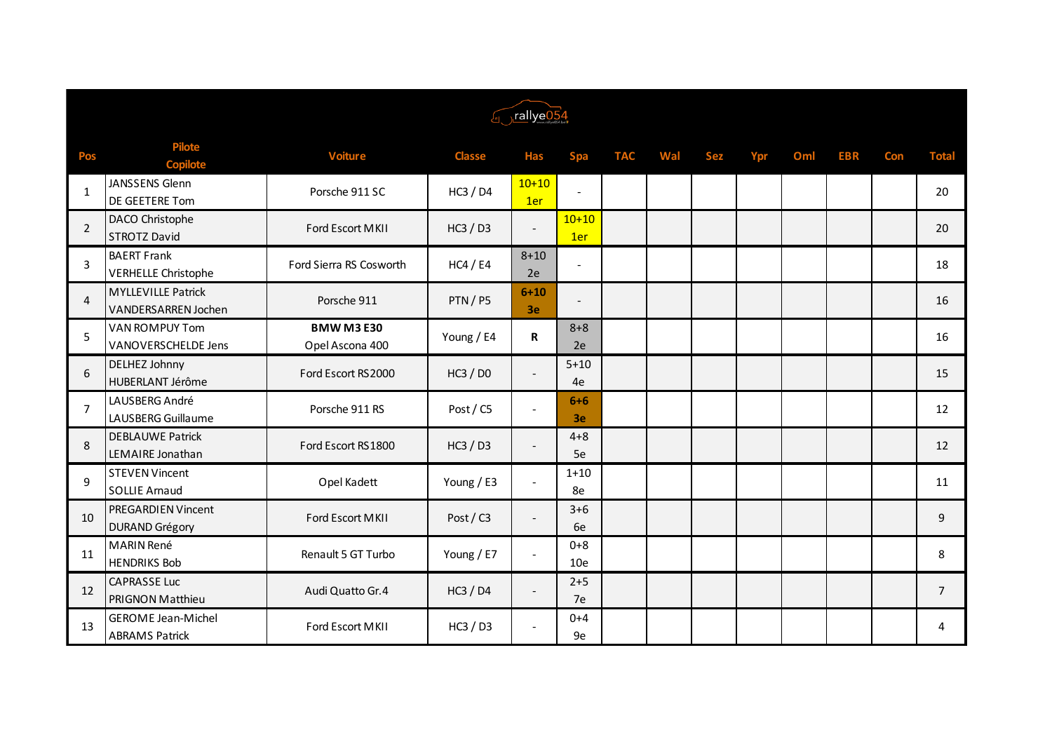| <i><u><b>Found</b></u></i> Just be the set of the set of the set of the set of the set of the set of the set of the set of the set of the set of the set of the set of the set of the set of the set of the set of the set of the set of the |                                                         |                                      |               |                          |                          |            |     |            |     |     |            |            |                |
|----------------------------------------------------------------------------------------------------------------------------------------------------------------------------------------------------------------------------------------------|---------------------------------------------------------|--------------------------------------|---------------|--------------------------|--------------------------|------------|-----|------------|-----|-----|------------|------------|----------------|
| <b>Pos</b>                                                                                                                                                                                                                                   | <b>Pilote</b><br><b>Copilote</b>                        | <b>Voiture</b>                       | <b>Classe</b> | <b>Has</b>               | <b>Spa</b>               | <b>TAC</b> | Wal | <b>Sez</b> | Ypr | Oml | <b>EBR</b> | <b>Con</b> | <b>Total</b>   |
| 1                                                                                                                                                                                                                                            | JANSSENS Glenn<br>DE GEETERE Tom                        | Porsche 911 SC                       | HC3 / D4      | $10+10$<br>1er           | $\blacksquare$           |            |     |            |     |     |            |            | 20             |
| $\overline{2}$                                                                                                                                                                                                                               | DACO Christophe<br><b>STROTZ David</b>                  | Ford Escort MKII                     | HC3 / D3      |                          | $10+10$<br>1er           |            |     |            |     |     |            |            | 20             |
| 3                                                                                                                                                                                                                                            | <b>BAERT Frank</b><br><b>VERHELLE Christophe</b>        | Ford Sierra RS Cosworth              | HC4 / E4      | $8 + 10$<br>2e           | $\overline{\phantom{a}}$ |            |     |            |     |     |            |            | 18             |
| $\overline{4}$                                                                                                                                                                                                                               | <b>MYLLEVILLE Patrick</b><br><b>VANDERSARREN Jochen</b> | Porsche 911                          | PTN/P5        | $6 + 10$<br>3e           | $\overline{\phantom{a}}$ |            |     |            |     |     |            |            | 16             |
| 5                                                                                                                                                                                                                                            | <b>VAN ROMPUY Tom</b><br><b>VANOVERSCHELDE Jens</b>     | <b>BMW M3 E30</b><br>Opel Ascona 400 | Young / E4    | R                        | $8 + 8$<br>2e            |            |     |            |     |     |            |            | 16             |
| 6                                                                                                                                                                                                                                            | <b>DELHEZ Johnny</b><br>HUBERLANT Jérôme                | Ford Escort RS2000                   | HC3 / D0      | $\overline{\phantom{a}}$ | $5 + 10$<br>4e           |            |     |            |     |     |            |            | 15             |
| $\overline{7}$                                                                                                                                                                                                                               | LAUSBERG André<br>LAUSBERG Guillaume                    | Porsche 911 RS                       | Post / C5     |                          | $6+6$<br>3e              |            |     |            |     |     |            |            | 12             |
| 8                                                                                                                                                                                                                                            | <b>DEBLAUWE Patrick</b><br>LEMAIRE Jonathan             | Ford Escort RS1800                   | HC3 / D3      |                          | $4 + 8$<br>5e            |            |     |            |     |     |            |            | 12             |
| 9                                                                                                                                                                                                                                            | <b>STEVEN Vincent</b><br><b>SOLLIE Arnaud</b>           | Opel Kadett                          | Young / E3    |                          | $1 + 10$<br>8e           |            |     |            |     |     |            |            | 11             |
| 10                                                                                                                                                                                                                                           | <b>PREGARDIEN Vincent</b><br><b>DURAND Grégory</b>      | Ford Escort MKII                     | Post / C3     |                          | $3 + 6$<br>6e            |            |     |            |     |     |            |            | 9              |
| 11                                                                                                                                                                                                                                           | <b>MARIN René</b><br><b>HENDRIKS Bob</b>                | Renault 5 GT Turbo                   | Young / E7    | $\overline{\phantom{a}}$ | $0 + 8$<br>10e           |            |     |            |     |     |            |            | 8              |
| 12                                                                                                                                                                                                                                           | <b>CAPRASSE Luc</b><br><b>PRIGNON Matthieu</b>          | Audi Quatto Gr. 4                    | HC3 / D4      | $\overline{\phantom{a}}$ | $2 + 5$<br>7e            |            |     |            |     |     |            |            | $\overline{7}$ |
| 13                                                                                                                                                                                                                                           | <b>GEROME Jean-Michel</b><br><b>ABRAMS Patrick</b>      | Ford Escort MKII                     | HC3 / D3      |                          | $0 + 4$<br>9e            |            |     |            |     |     |            |            | 4              |